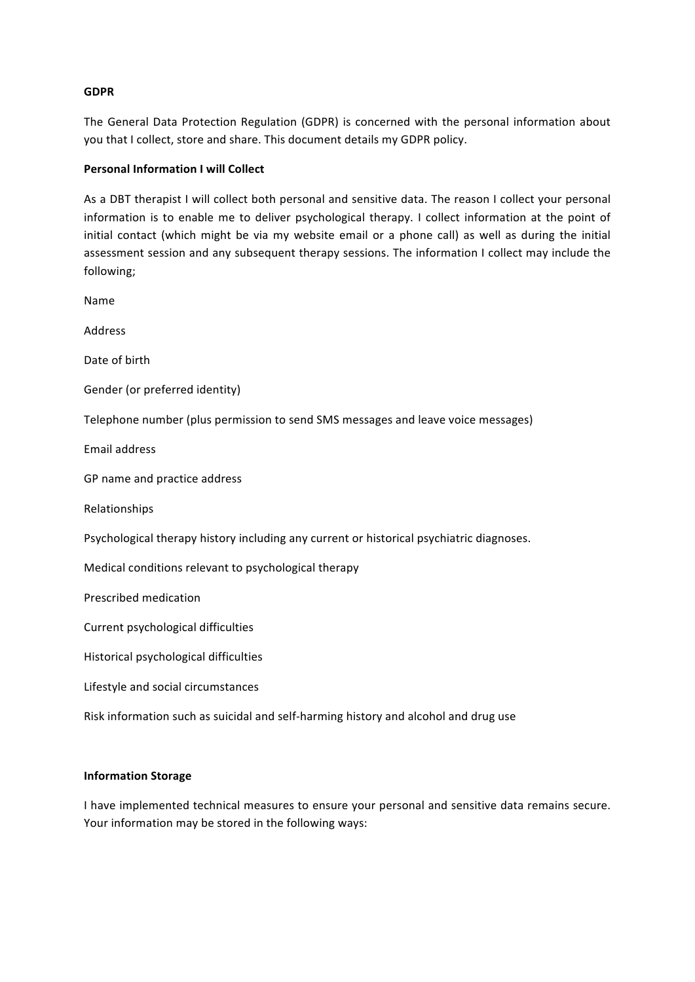### **GDPR**

The General Data Protection Regulation (GDPR) is concerned with the personal information about you that I collect, store and share. This document details my GDPR policy.

### **Personal Information I will Collect**

As a DBT therapist I will collect both personal and sensitive data. The reason I collect your personal information is to enable me to deliver psychological therapy. I collect information at the point of initial contact (which might be via my website email or a phone call) as well as during the initial assessment session and any subsequent therapy sessions. The information I collect may include the following;

Name Address Date of birth Gender (or preferred identity) Telephone number (plus permission to send SMS messages and leave voice messages) Email address GP name and practice address Relationships Psychological therapy history including any current or historical psychiatric diagnoses. Medical conditions relevant to psychological therapy Prescribed medication Current psychological difficulties Historical psychological difficulties Lifestyle and social circumstances Risk information such as suicidal and self-harming history and alcohol and drug use

### **Information Storage**

I have implemented technical measures to ensure your personal and sensitive data remains secure. Your information may be stored in the following ways: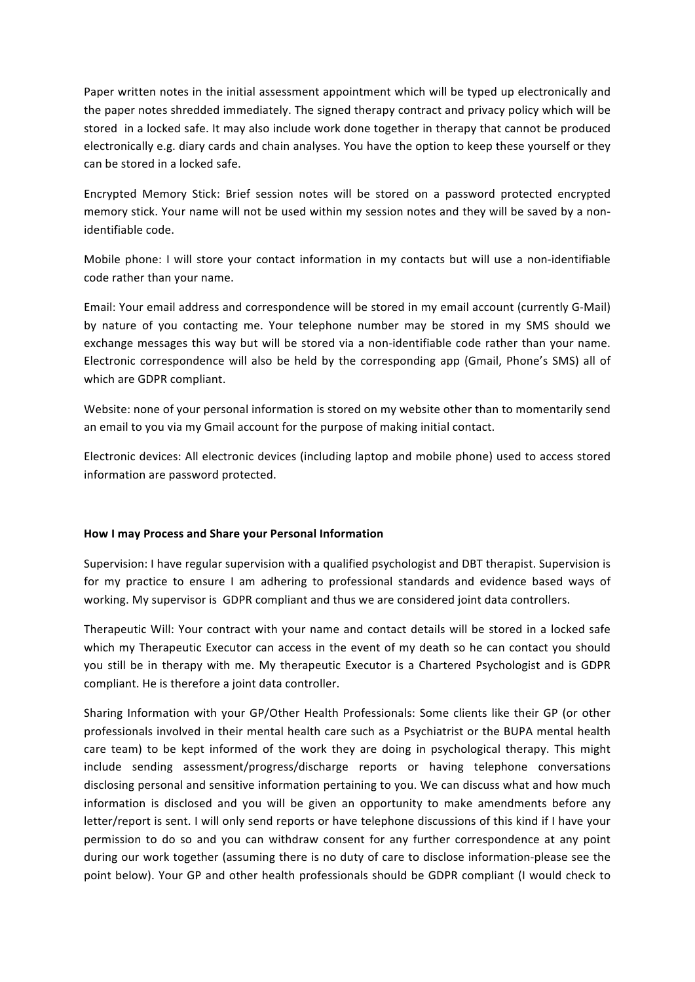Paper written notes in the initial assessment appointment which will be typed up electronically and the paper notes shredded immediately. The signed therapy contract and privacy policy which will be stored in a locked safe. It may also include work done together in therapy that cannot be produced electronically e.g. diary cards and chain analyses. You have the option to keep these yourself or they can be stored in a locked safe.

Encrypted Memory Stick: Brief session notes will be stored on a password protected encrypted memory stick. Your name will not be used within my session notes and they will be saved by a nonidentifiable code.

Mobile phone: I will store your contact information in my contacts but will use a non-identifiable code rather than your name.

Email: Your email address and correspondence will be stored in my email account (currently G-Mail) by nature of you contacting me. Your telephone number may be stored in my SMS should we exchange messages this way but will be stored via a non-identifiable code rather than your name. Electronic correspondence will also be held by the corresponding app (Gmail, Phone's SMS) all of which are GDPR compliant.

Website: none of your personal information is stored on my website other than to momentarily send an email to you via my Gmail account for the purpose of making initial contact.

Electronic devices: All electronic devices (including laptop and mobile phone) used to access stored information are password protected.

# **How I may Process and Share your Personal Information**

Supervision: I have regular supervision with a qualified psychologist and DBT therapist. Supervision is for my practice to ensure I am adhering to professional standards and evidence based ways of working. My supervisor is GDPR compliant and thus we are considered joint data controllers.

Therapeutic Will: Your contract with your name and contact details will be stored in a locked safe which my Therapeutic Executor can access in the event of my death so he can contact you should you still be in therapy with me. My therapeutic Executor is a Chartered Psychologist and is GDPR compliant. He is therefore a joint data controller.

Sharing Information with your GP/Other Health Professionals: Some clients like their GP (or other professionals involved in their mental health care such as a Psychiatrist or the BUPA mental health care team) to be kept informed of the work they are doing in psychological therapy. This might include sending assessment/progress/discharge reports or having telephone conversations disclosing personal and sensitive information pertaining to you. We can discuss what and how much information is disclosed and you will be given an opportunity to make amendments before any letter/report is sent. I will only send reports or have telephone discussions of this kind if I have your permission to do so and you can withdraw consent for any further correspondence at any point during our work together (assuming there is no duty of care to disclose information-please see the point below). Your GP and other health professionals should be GDPR compliant (I would check to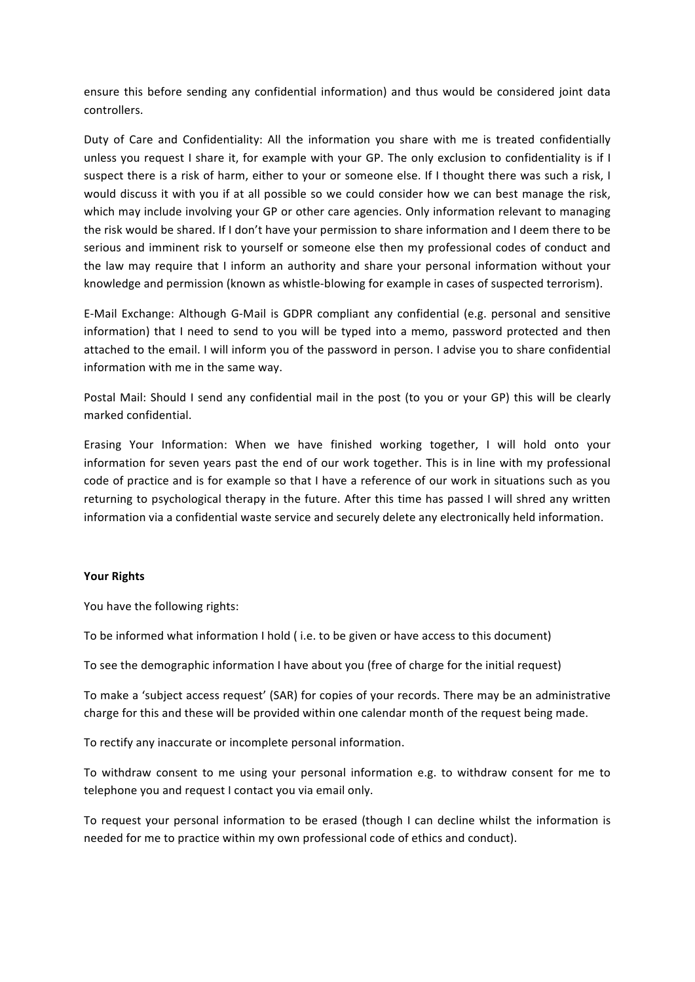ensure this before sending any confidential information) and thus would be considered joint data controllers. 

Duty of Care and Confidentiality: All the information you share with me is treated confidentially unless you request I share it, for example with your GP. The only exclusion to confidentiality is if I suspect there is a risk of harm, either to your or someone else. If I thought there was such a risk, I would discuss it with you if at all possible so we could consider how we can best manage the risk, which may include involving your GP or other care agencies. Only information relevant to managing the risk would be shared. If I don't have your permission to share information and I deem there to be serious and imminent risk to yourself or someone else then my professional codes of conduct and the law may require that I inform an authority and share your personal information without your knowledge and permission (known as whistle-blowing for example in cases of suspected terrorism).

E-Mail Exchange: Although G-Mail is GDPR compliant any confidential (e.g. personal and sensitive information) that I need to send to you will be typed into a memo, password protected and then attached to the email. I will inform you of the password in person. I advise you to share confidential information with me in the same way.

Postal Mail: Should I send any confidential mail in the post (to you or your GP) this will be clearly marked confidential.

Erasing Your Information: When we have finished working together, I will hold onto your information for seven years past the end of our work together. This is in line with my professional code of practice and is for example so that I have a reference of our work in situations such as you returning to psychological therapy in the future. After this time has passed I will shred any written information via a confidential waste service and securely delete any electronically held information.

# **Your Rights**

You have the following rights:

To be informed what information I hold (i.e. to be given or have access to this document)

To see the demographic information I have about you (free of charge for the initial request)

To make a 'subject access request' (SAR) for copies of your records. There may be an administrative charge for this and these will be provided within one calendar month of the request being made.

To rectify any inaccurate or incomplete personal information.

To withdraw consent to me using your personal information e.g. to withdraw consent for me to telephone you and request I contact you via email only.

To request your personal information to be erased (though I can decline whilst the information is needed for me to practice within my own professional code of ethics and conduct).